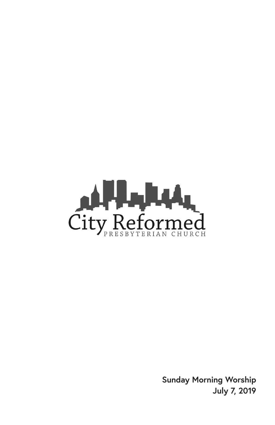

**Sunday Morning Worship July 7, 2019**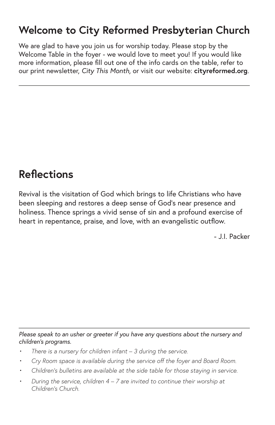# **Welcome to City Reformed Presbyterian Church**

We are glad to have you join us for worship today. Please stop by the Welcome Table in the foyer - we would love to meet you! If you would like more information, please fill out one of the info cards on the table, refer to our print newsletter, *City This Month,* or visit our website: **cityreformed.org**.

# **Reflections**

Revival is the visitation of God which brings to life Christians who have been sleeping and restores a deep sense of God's near presence and holiness. Thence springs a vivid sense of sin and a profound exercise of heart in repentance, praise, and love, with an evangelistic outflow.

- J.I. Packer

*Please speak to an usher or greeter if you have any questions about the nursery and children's programs.*

- *• There is a nursery for children infant 3 during the service.*
- *• Cry Room space is available during the service off the foyer and Board Room.*
- *• Children's bulletins are available at the side table for those staying in service.*
- *• During the service, children 4 7 are invited to continue their worship at Children's Church.*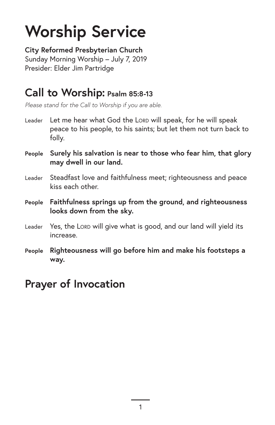# **Worship Service**

**City Reformed Presbyterian Church** Sunday Morning Worship – July 7, 2019 Presider: Elder Jim Partridge

### **Call to Worship: Psalm 85:8-13**

*Please stand for the Call to Worship if you are able.*

- Leader Let me hear what God the Lorp will speak, for he will speak peace to his people, to his saints; but let them not turn back to folly.
- **People Surely his salvation is near to those who fear him, that glory may dwell in our land.**
- Leader Steadfast love and faithfulness meet; righteousness and peace kiss each other.
- **People Faithfulness springs up from the ground, and righteousness looks down from the sky.**
- Leader Yes, the Lord will give what is good, and our land will yield its increase.
- **People Righteousness will go before him and make his footsteps a way.**

### **Prayer of Invocation**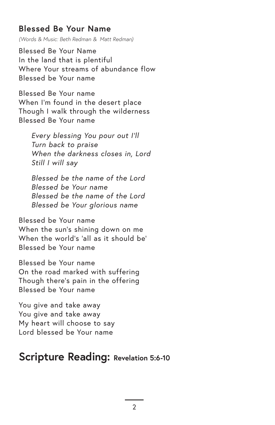#### **Blessed Be Your Name**

*(Words & Music: Beth Redman & Matt Redman)*

Blessed Be Your Name In the land that is plentiful Where Your streams of abundance flow Blessed be Your name

Blessed Be Your name When I'm found in the desert place Though I walk through the wilderness Blessed Be Your name

*Every blessing You pour out I'll Turn back to praise When the darkness closes in, Lord Still I will say*

*Blessed be the name of the Lord Blessed be Your name Blessed be the name of the Lord Blessed be Your glorious name*

Blessed be Your name When the sun's shining down on me When the world's 'all as it should be' Blessed be Your name

Blessed be Your name On the road marked with suffering Though there's pain in the offering Blessed be Your name

You give and take away You give and take away My heart will choose to say Lord blessed be Your name

### **Scripture Reading: Revelation 5:6-10**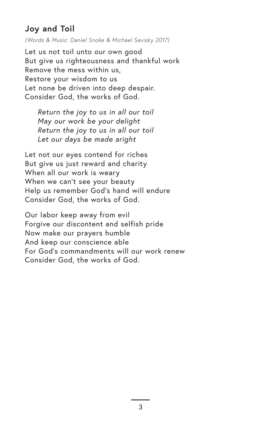### **Joy and Toil**

*(Words & Music: Daniel Snoke & Michael Savisky 2017)*

Let us not toil unto our own good But give us righteousness and thankful work Remove the mess within us, Restore your wisdom to us Let none be driven into deep despair. Consider God, the works of God.

*Return the joy to us in all our toil May our work be your delight Return the joy to us in all our toil Let our days be made aright* 

Let not our eyes contend for riches But give us just reward and charity When all our work is weary When we can't see your beauty Help us remember God's hand will endure Consider God, the works of God.

Our labor keep away from evil Forgive our discontent and selfish pride Now make our prayers humble And keep our conscience able For God's commandments will our work renew Consider God, the works of God.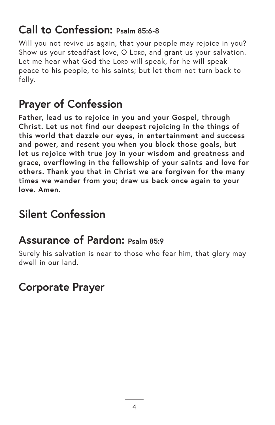# **Call to Confession: Psalm 85:6-8**

Will you not revive us again, that your people may rejoice in you? Show us your steadfast love, O Lorp, and grant us your salvation. Let me hear what God the Lord will speak, for he will speak peace to his people, to his saints; but let them not turn back to folly.

# **Prayer of Confession**

**Father, lead us to rejoice in you and your Gospel, through Christ. Let us not find our deepest rejoicing in the things of this world that dazzle our eyes, in entertainment and success and power, and resent you when you block those goals, but let us rejoice with true joy in your wisdom and greatness and grace, overflowing in the fellowship of your saints and love for others. Thank you that in Christ we are forgiven for the many times we wander from you; draw us back once again to your love. Amen.**

# **Silent Confession**

### **Assurance of Pardon: Psalm 85:9**

Surely his salvation is near to those who fear him, that glory may dwell in our land.

### **Corporate Prayer**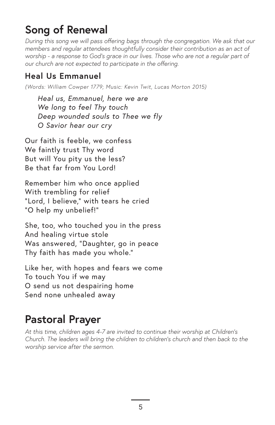# **Song of Renewal**

*During this song we will pass offering bags through the congregation. We ask that our members and regular attendees thoughtfully consider their contribution as an act of worship - a response to God's grace in our lives. Those who are not a regular part of our church are not expected to participate in the offering.*

#### **Heal Us Emmanuel**

*(Words: William Cowper 1779; Music: Kevin Twit, Lucas Morton 2015)*

*Heal us, Emmanuel, here we are We long to feel Thy touch Deep wounded souls to Thee we fly O Savior hear our cry*

Our faith is feeble, we confess We faintly trust Thy word But will You pity us the less? Be that far from You Lord!

Remember him who once applied With trembling for relief "Lord, I believe," with tears he cried "O help my unbelief!"

She, too, who touched you in the press And healing virtue stole Was answered, "Daughter, go in peace Thy faith has made you whole."

Like her, with hopes and fears we come To touch You if we may O send us not despairing home Send none unhealed away

# **Pastoral Prayer**

*At this time, children ages 4-7 are invited to continue their worship at Children's Church. The leaders will bring the children to children's church and then back to the worship service after the sermon.*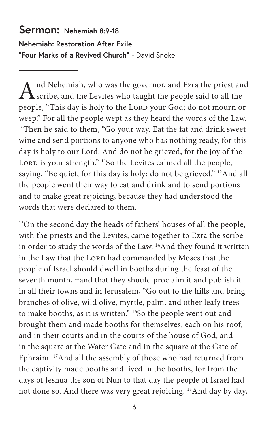### **Sermon: Nehemiah 8:9-18 Nehemiah: Restoration After Exile "Four Marks of a Revived Church"** - David Snoke

And Nehemiah, who was the governor, and Ezra the priest and scribe, and the Levites who taught the people said to all the people, "This day is holy to the LORD your God; do not mourn or weep." For all the people wept as they heard the words of the Law. <sup>10</sup>Then he said to them, "Go your way. Eat the fat and drink sweet wine and send portions to anyone who has nothing ready, for this day is holy to our Lord. And do not be grieved, for the joy of the LORD is your strength." <sup>11</sup>So the Levites calmed all the people, saying, "Be quiet, for this day is holy; do not be grieved." <sup>12</sup>And all the people went their way to eat and drink and to send portions and to make great rejoicing, because they had understood the words that were declared to them.

<sup>13</sup>On the second day the heads of fathers' houses of all the people, with the priests and the Levites, came together to Ezra the scribe in order to study the words of the Law. 14And they found it written in the Law that the LORD had commanded by Moses that the people of Israel should dwell in booths during the feast of the seventh month, <sup>15</sup> and that they should proclaim it and publish it in all their towns and in Jerusalem, "Go out to the hills and bring branches of olive, wild olive, myrtle, palm, and other leafy trees to make booths, as it is written." 16So the people went out and brought them and made booths for themselves, each on his roof, and in their courts and in the courts of the house of God, and in the square at the Water Gate and in the square at the Gate of Ephraim. 17And all the assembly of those who had returned from the captivity made booths and lived in the booths, for from the days of Jeshua the son of Nun to that day the people of Israel had not done so. And there was very great rejoicing. 18And day by day,

6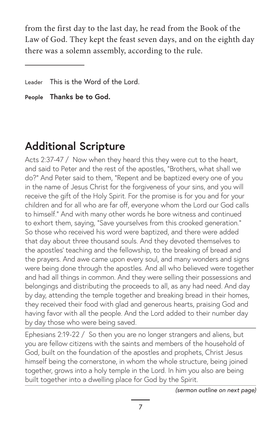from the first day to the last day, he read from the Book of the Law of God. They kept the feast seven days, and on the eighth day there was a solemn assembly, according to the rule.

Leader This is the Word of the Lord.

**People Thanks be to God.**

# **Additional Scripture**

Acts 2:37-47 / Now when they heard this they were cut to the heart, and said to Peter and the rest of the apostles, "Brothers, what shall we do?" And Peter said to them, "Repent and be baptized every one of you in the name of Jesus Christ for the forgiveness of your sins, and you will receive the gift of the Holy Spirit. For the promise is for you and for your children and for all who are far off, everyone whom the Lord our God calls to himself." And with many other words he bore witness and continued to exhort them, saying, "Save yourselves from this crooked generation." So those who received his word were baptized, and there were added that day about three thousand souls. And they devoted themselves to the apostles' teaching and the fellowship, to the breaking of bread and the prayers. And awe came upon every soul, and many wonders and signs were being done through the apostles. And all who believed were together and had all things in common. And they were selling their possessions and belongings and distributing the proceeds to all, as any had need. And day by day, attending the temple together and breaking bread in their homes, they received their food with glad and generous hearts, praising God and having favor with all the people. And the Lord added to their number day by day those who were being saved.

Ephesians 2:19-22 / So then you are no longer strangers and aliens, but you are fellow citizens with the saints and members of the household of God, built on the foundation of the apostles and prophets, Christ Jesus himself being the cornerstone, in whom the whole structure, being joined together, grows into a holy temple in the Lord. In him you also are being built together into a dwelling place for God by the Spirit.

*(sermon outline on next page)*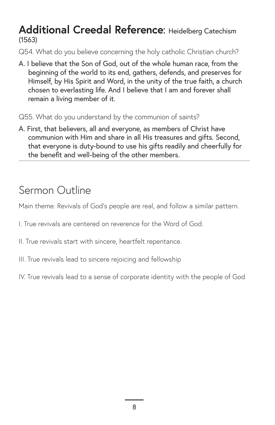#### **Additional Creedal Reference**: Heidelberg Catechism (1563)

Q54. What do you believe concerning the holy catholic Christian church?

A. I believe that the Son of God, out of the whole human race, from the beginning of the world to its end, gathers, defends, and preserves for Himself, by His Spirit and Word, in the unity of the true faith, a church chosen to everlasting life. And I believe that I am and forever shall remain a living member of it.

Q55. What do you understand by the communion of saints?

A. First, that believers, all and everyone, as members of Christ have communion with Him and share in all His treasures and gifts. Second, that everyone is duty-bound to use his gifts readily and cheerfully for the benefit and well-being of the other members.

# Sermon Outline

Main theme: Revivals of God's people are real, and follow a similar pattern.

- I. True revivals are centered on reverence for the Word of God.
- II. True revivals start with sincere, heartfelt repentance.
- III. True revivals lead to sincere rejoicing and fellowship
- IV. True revivals lead to a sense of corporate identity with the people of God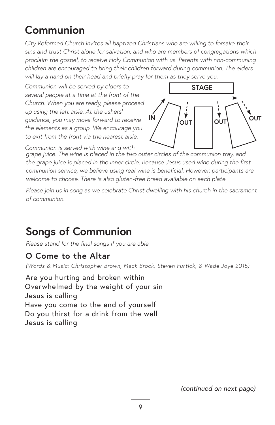# **Communion**

*City Reformed Church invites all baptized Christians who are willing to forsake their sins and trust Christ alone for salvation, and who are members of congregations which proclaim the gospel, to receive Holy Communion with us. Parents with non-communing children are encouraged to bring their children forward during communion. The elders will lay a hand on their head and briefly pray for them as they serve you.*

*Communion will be served by elders to several people at a time at the front of the Church. When you are ready, please proceed up using the left aisle. At the ushers' guidance, you may move forward to receive the elements as a group. We encourage you to exit from the front via the nearest aisle.*



*Communion is served with wine and with* 

*grape juice. The wine is placed in the two outer circles of the communion tray, and the grape juice is placed in the inner circle. Because Jesus used wine during the first communion service, we believe using real wine is beneficial. However, participants are welcome to choose. There is also gluten-free bread available on each plate.*

*Please join us in song as we celebrate Christ dwelling with his church in the sacrament of communion.*

# **Songs of Communion**

*Please stand for the final songs if you are able.*

#### **O Come to the Altar**

*(Words & Music: Christopher Brown, Mack Brock, Steven Furtick, & Wade Joye 2015)*

Are you hurting and broken within Overwhelmed by the weight of your sin Jesus is calling Have you come to the end of yourself Do you thirst for a drink from the well Jesus is calling

*(continued on next page)*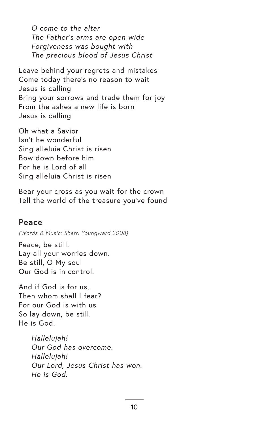*O come to the altar The Father's arms are open wide Forgiveness was bought with The precious blood of Jesus Christ*

Leave behind your regrets and mistakes Come today there's no reason to wait Jesus is calling Bring your sorrows and trade them for joy From the ashes a new life is born Jesus is calling

Oh what a Savior Isn't he wonderful Sing alleluia Christ is risen Bow down before him For he is Lord of all Sing alleluia Christ is risen

Bear your cross as you wait for the crown Tell the world of the treasure you've found

#### **Peace**

*(Words & Music: Sherri Youngward 2008)*

Peace, be still. Lay all your worries down. Be still, O My soul Our God is in control.

And if God is for us, Then whom shall I fear? For our God is with us So lay down, be still. He is God.

> *Hallelujah! Our God has overcome. Hallelujah! Our Lord, Jesus Christ has won. He is God.*